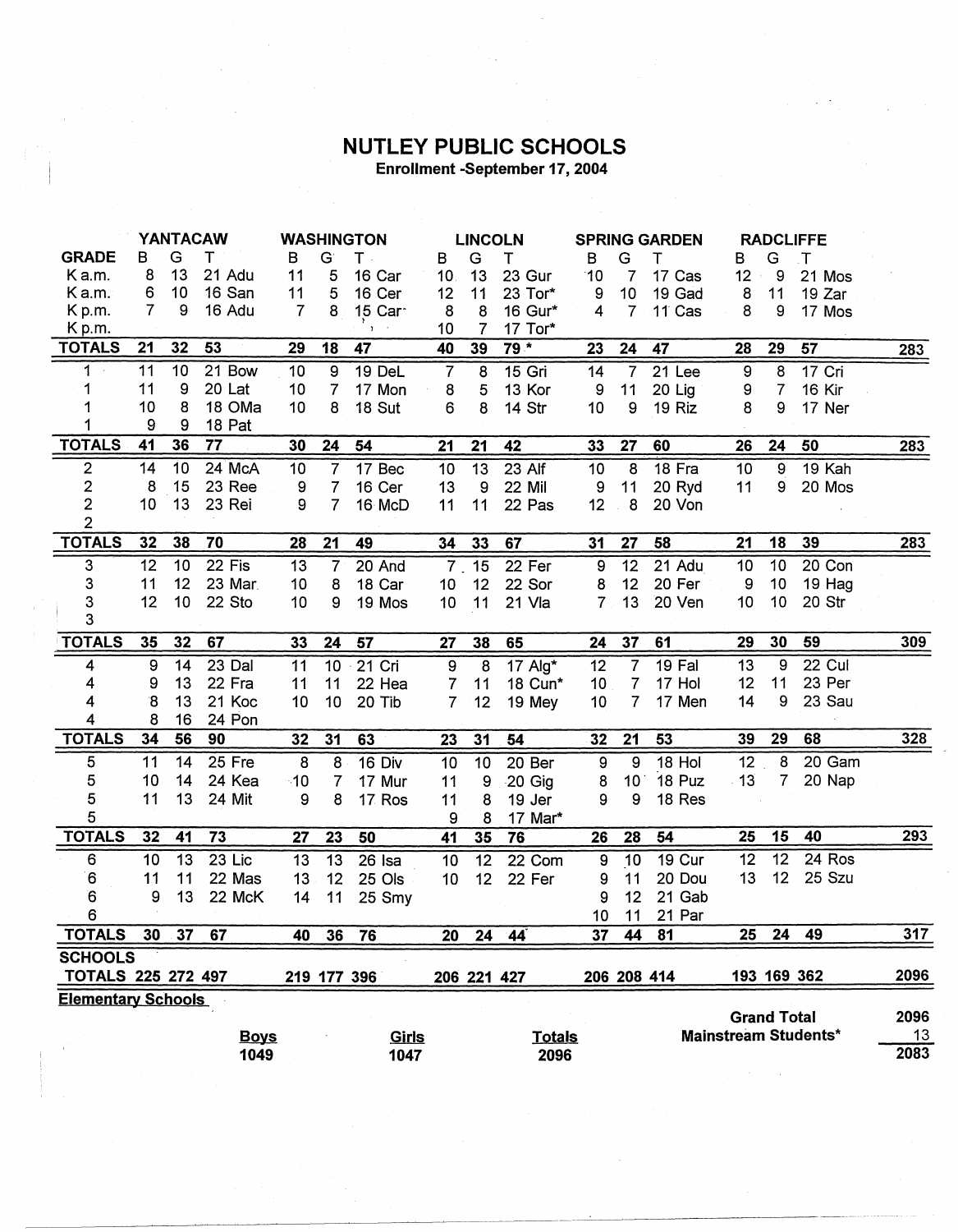## **NUTLEY PUBLIC SCHOOLS** Enrollment -September 17, 2004

| <b>YANTACAW</b>                                                                                             |                |    |             | <b>WASHINGTON</b> |                 |              | <b>LINCOLN</b> |                  | <b>SPRING GARDEN</b> |                       |                 | <b>RADCLIFFE</b>  |                  |                  |                             |            |
|-------------------------------------------------------------------------------------------------------------|----------------|----|-------------|-------------------|-----------------|--------------|----------------|------------------|----------------------|-----------------------|-----------------|-------------------|------------------|------------------|-----------------------------|------------|
| <b>GRADE</b>                                                                                                | в              | G  | т           | в                 | G               | T -          | B              | G                | т                    | в                     | G               | Ŧ                 | в                | G                | $\mathsf{T}$                |            |
| Ka.m.                                                                                                       | 8              | 13 | 21 Adu      | 11                | 5               | 16 Car       | 10.            | 13               | 23 Gur               | 10                    | 7               | 17 Cas            | 12               | 9                | 21 Mos                      |            |
| Ka.m.                                                                                                       | 6              | 10 | 16 San      | 11                | 5               | 16 Cer       | 12             | 11               | 23 Tor*              | 9                     | 10              | 19 Gad            | 8                | 11               | 19 Zar                      |            |
| K p.m.                                                                                                      | $\overline{7}$ | 9  | 16 Adu      | $\overline{7}$    | 8               | 15 Car       | 8              | 8                | 16 Gur*              | 4                     | $\overline{7}$  | 11 <sup>Cas</sup> | 8                | 9                | 17 Mos                      |            |
| K p.m.                                                                                                      |                |    |             |                   |                 | $\mathbf{r}$ | 10             | $\overline{7}$   | 17 Tor*              |                       |                 |                   |                  |                  |                             |            |
| <b>TOTALS</b>                                                                                               | 21             | 32 | 53          | 29                | 18              | 47           | 40             | 39               | $79*$                | 23                    | 24              | 47                | 28               | 29               | 57                          | 283        |
| 1                                                                                                           | 11             | 10 | 21 Bow      | 10                | 9               | 19 DeL       | $\overline{7}$ | 8                | 15 Gri               | 14                    | $\overline{7}$  | 21 Lee            | $\boldsymbol{9}$ | 8                | 17 Cri                      |            |
|                                                                                                             | 11             | 9  | 20 Lat      | 10 <sub>1</sub>   | $\overline{7}$  | 17 Mon       | 8              | 5                | 13 Kor               | 9                     | 11              | 20 Lig            | 9                | $\overline{7}$   | 16 Kir                      |            |
|                                                                                                             | 10             | 8  | 18 OMa      | 10                | 8               | 18 Sut       | 6              | 8                | 14 Str               | 10                    | 9               | 19 Riz            | 8                | 9                | 17 Ner                      |            |
|                                                                                                             | 9              | 9  | 18 Pat      |                   |                 |              |                |                  |                      |                       |                 |                   |                  |                  |                             |            |
| <b>TOTALS</b>                                                                                               | 41             | 36 | 77          | 30                | 24              | 54           | 21             | 21               | 42                   | 33                    | 27              | 60                | 26               | 24               | 50                          | 283        |
| $\overline{2}$                                                                                              | 14             | 10 | 24 McA      | 10                | 7               | 17 Bec       | 10             | $\overline{13}$  | 23 Alf               | 10                    | $\overline{8}$  | 18 Fra            | 10               | $\boldsymbol{9}$ | 19 Kah                      |            |
| $\overline{\mathbf{2}}$                                                                                     | 8              | 15 | 23 Ree      | 9                 | 7               | 16 Cer       | 13             | 9                | <b>22 Mil</b>        | 9                     | 11              | 20 Ryd            | 11               | 9                | 20 Mos                      |            |
| $\overline{\mathbf{c}}$                                                                                     | 10             | 13 | 23 Rei      | 9                 | 7               | 16 McD       | 11             | 11               | 22 Pas               | 12                    | 8               | 20 Von            |                  |                  |                             |            |
| $\overline{2}$                                                                                              |                |    |             |                   |                 |              |                |                  |                      |                       |                 |                   |                  |                  |                             |            |
| <b>TOTALS</b>                                                                                               | 32             | 38 | 70          | 28                | 21              | 49           | 34             | 33               | 67                   | 31                    | 27              | 58                | 21               | 18               | 39                          | 283        |
| 3                                                                                                           | 12             | 10 | 22 Fis      | 13                | 7               | 20 And       | 7 <sup>1</sup> | 15               | 22 Fer               | 9                     | $\overline{12}$ | 21 Adu            | 10               | 10               | 20 Con                      |            |
| 3                                                                                                           | 11             | 12 | 23 Mar      | 10                | 8               | 18 Car       | 10             | 12               | 22 Sor               | 8                     | 12              | 20 Fer            | 9                | 10               | 19 Hag                      |            |
| 3                                                                                                           | 12             | 10 | 22 Sto      | 10                | 9               | 19 Mos       | 10             | 11               | 21 Vla               | $\overline{7}$        | 13              | 20 Ven            | 10               | 10               | 20 Str                      |            |
| 3                                                                                                           |                |    |             |                   |                 |              |                |                  |                      |                       |                 |                   |                  |                  |                             |            |
| <b>TOTALS</b>                                                                                               | 35             | 32 | 67          | 33                | 24              | 57           | 27             | 38               | 65                   | 24                    | 37              | 61                | 29               | 30               | 59                          | 309        |
| 4                                                                                                           | 9              | 14 | 23 Dal      | 11                | 10 <sub>1</sub> | 21 Cri       | 9              | 8                | $17$ Alg*            | 12                    | 7               | 19 Fal            | 13               | 9                | 22 Cul                      |            |
| 4                                                                                                           | 9              | 13 | 22 Fra      | 11                | 11              | 22 Hea       | 7              | 11               | 18 Cun*              | 10 <sub>1</sub>       | 7               | 17 Hol            | 12               | 11               | 23 Per                      |            |
| 4                                                                                                           | 8              | 13 | 21 Koc      | 10                | 10              | 20 Tib       | $\overline{7}$ | 12               | 19 Mey               | 10                    | 7               | 17 Men            | 14               | 9                | 23 Sau                      |            |
| 4                                                                                                           | 8              | 16 | 24 Pon      |                   |                 |              |                |                  |                      |                       |                 |                   |                  |                  |                             |            |
| <b>TOTALS</b>                                                                                               | 34             | 56 | 90          | 32                | 31              | 63           | 23             | 31               | 54                   | 32                    | 21              | 53                | 39               | 29               | 68                          | <b>328</b> |
| 5                                                                                                           | 11             | 14 | 25 Fre      | 8                 | 8               | 16 Div       | 10             | 10               | 20 Ber               | $\boldsymbol{9}$      | 9               | 18 Hol            | 12               | 8                | 20 Gam                      |            |
| 5                                                                                                           | 10             | 14 | 24 Kea      | $\cdot$ 10        | 7               | 17 Mur       | 11             | $\boldsymbol{9}$ | 20 Gig               | $\boldsymbol{8}$      | 10              | 18 Puz            | 13               | 7                | 20 Nap                      |            |
| 5                                                                                                           | 11             | 13 | 24 Mit      | 9                 | 8               | 17 Ros       | 11             | 8                | 19 Jer               | 9                     | 9               | 18 Res            |                  |                  |                             |            |
| 5                                                                                                           |                |    |             |                   |                 |              | 9              | 8                | 17 Mar*              |                       |                 |                   |                  |                  |                             |            |
| <b>TOTALS</b>                                                                                               | 32             | 41 | 73          | 27                | 23              | 50           | 41             | 35               | 76                   | 26                    | 28              | 54                | 25               | 15               | 40                          | 293        |
| 6                                                                                                           | 10             | 13 | 23 Lic      | 13                | 13              | 26 Isa       | 10             | 12               | 22 Com               | 9                     | 10              | 19 Cur            | 12               | 12               | 24 Ros                      |            |
| 6                                                                                                           | 11             | 11 | 22 Mas      | 13                | 12              | 25 Ols       | 10             | 12 <sup>2</sup>  | 22 Fer               | 9                     | 11              | 20 Dou            | 13               | 12 <sub>2</sub>  | 25 Szu                      |            |
| 6                                                                                                           | 9              | 13 | 22 McK      |                   |                 |              |                |                  |                      | 9                     | 12              | 21 Gab            |                  |                  |                             |            |
| 6                                                                                                           |                |    |             | 14                | 11              | 25 Smy       |                |                  |                      |                       | 11              |                   |                  |                  |                             |            |
| <b>TOTALS</b>                                                                                               | 30             | 37 | 67          |                   | 36              |              |                |                  |                      | 10 <sub>1</sub><br>37 |                 | 21 Par            | 25               | 24               | 49                          | 317        |
| <b>SCHOOLS</b>                                                                                              |                |    |             | 40                |                 | 76           | 20             | 24               | 44                   |                       | 44              | 81                |                  |                  |                             |            |
|                                                                                                             |                |    |             |                   |                 |              |                |                  |                      |                       |                 |                   |                  |                  |                             | 2096       |
| TOTALS 225 272 497<br>193 169 362<br>219 177 396<br>206 208 414<br>206 221 427<br><b>Elementary Schools</b> |                |    |             |                   |                 |              |                |                  |                      |                       |                 |                   |                  |                  |                             |            |
| <b>Grand Total</b>                                                                                          |                |    |             |                   |                 |              |                |                  | 2096                 |                       |                 |                   |                  |                  |                             |            |
|                                                                                                             |                |    | <b>Boys</b> |                   |                 | Girls        |                |                  | <b>Totals</b>        |                       |                 |                   |                  |                  | <b>Mainstream Students*</b> | 13         |
|                                                                                                             |                |    | 1049        |                   |                 | 1047         |                |                  | 2096                 |                       |                 |                   |                  |                  |                             | 2083       |